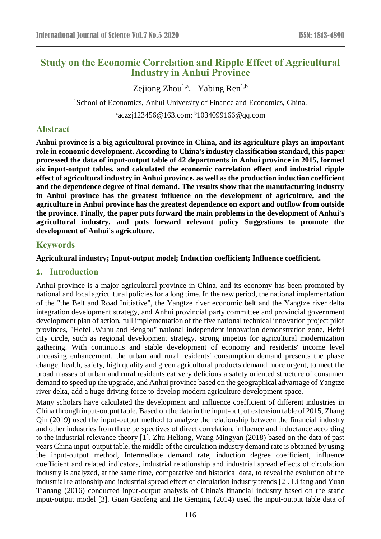# **Study on the Economic Correlation and Ripple Effect of Agricultural Industry in Anhui Province**

Zejiong Zhou<sup>1,a</sup>, Yabing Ren<sup>1,b</sup>

<sup>1</sup>School of Economics, Anhui University of Finance and Economics, China.

<sup>a</sup>aczzj123456@163.com; <sup>b</sup>1034099166@qq.com

# **Abstract**

**Anhui province is a big agricultural province in China, and its agriculture plays an important role in economic development. According to China's industry classification standard, this paper processed the data of input-output table of 42 departments in Anhui province in 2015, formed six input-output tables, and calculated the economic correlation effect and industrial ripple effect of agricultural industry in Anhui province, as well as the production induction coefficient and the dependence degree of final demand. The results show that the manufacturing industry in Anhui province has the greatest influence on the development of agriculture, and the agriculture in Anhui province has the greatest dependence on export and outflow from outside the province. Finally, the paper puts forward the main problems in the development of Anhui's agricultural industry, and puts forward relevant policy Suggestions to promote the development of Anhui's agriculture.**

# **Keywords**

#### **Agricultural industry; Input-output model; Induction coefficient; Influence coefficient.**

#### **1. Introduction**

Anhui province is a major agricultural province in China, and its economy has been promoted by national and local agricultural policies for a long time. In the new period, the national implementation of the "the Belt and Road Initiative", the Yangtze river economic belt and the Yangtze river delta integration development strategy, and Anhui provincial party committee and provincial government development plan of action, full implementation of the five national technical innovation project pilot provinces, "Hefei ,Wuhu and Bengbu" national independent innovation demonstration zone, Hefei city circle, such as regional development strategy, strong impetus for agricultural modernization gathering. With continuous and stable development of economy and residents' income level unceasing enhancement, the urban and rural residents' consumption demand presents the phase change, health, safety, high quality and green agricultural products demand more urgent, to meet the broad masses of urban and rural residents eat very delicious a safety oriented structure of consumer demand to speed up the upgrade, and Anhui province based on the geographical advantage of Yangtze river delta, add a huge driving force to develop modern agriculture development space.

Many scholars have calculated the development and influence coefficient of different industries in China through input-output table. Based on the data in the input-output extension table of 2015, Zhang Qin (2019) used the input-output method to analyze the relationship between the financial industry and other industries from three perspectives of direct correlation, influence and inductance according to the industrial relevance theory [1]. Zhu Heliang, Wang Mingyan (2018) based on the data of past years China input-output table, the middle of the circulation industry demand rate is obtained by using the input-output method, Intermediate demand rate, induction degree coefficient, influence coefficient and related indicators, industrial relationship and industrial spread effects of circulation industry is analyzed, at the same time, comparative and historical data, to reveal the evolution of the industrial relationship and industrial spread effect of circulation industry trends [2]. Li fang and Yuan Tianang (2016) conducted input-output analysis of China's financial industry based on the static input-output model [3]. Guan Gaofeng and He Genqing (2014) used the input-output table data of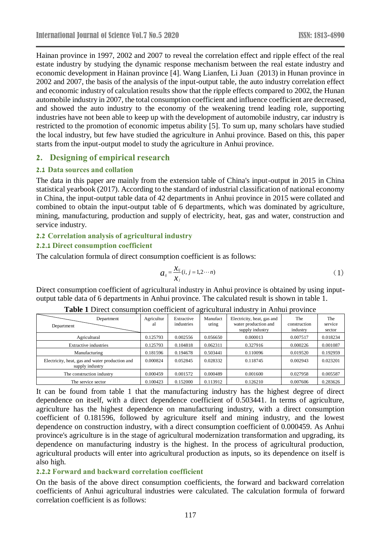Hainan province in 1997, 2002 and 2007 to reveal the correlation effect and ripple effect of the real estate industry by studying the dynamic response mechanism between the real estate industry and economic development in Hainan province [4]. Wang Lianfen, Li Juan (2013) in Hunan province in 2002 and 2007, the basis of the analysis of the input-output table, the auto industry correlation effect and economic industry of calculation results show that the ripple effects compared to 2002, the Hunan automobile industry in 2007, the total consumption coefficient and influence coefficient are decreased, and showed the auto industry to the economy of the weakening trend leading role, supporting industries have not been able to keep up with the development of automobile industry, car industry is restricted to the promotion of economic impetus ability [5]. To sum up, many scholars have studied the local industry, but few have studied the agriculture in Anhui province. Based on this, this paper starts from the input-output model to study the agriculture in Anhui province.

# **2. Designing of empirical research**

# **2.1 Data sources and collation**

The data in this paper are mainly from the extension table of China's input-output in 2015 in China statistical yearbook (2017). According to the standard of industrial classification of national economy in China, the input-output table data of 42 departments in Anhui province in 2015 were collated and combined to obtain the input-output table of 6 departments, which was dominated by agriculture, mining, manufacturing, production and supply of electricity, heat, gas and water, construction and service industry.

# **2.2 Correlation analysis of agricultural industry**

# **2.2.1 Direct consumption coefficient**

The calculation formula of direct consumption coefficient is as follows:

$$
a_{ij} = \frac{x_{ij}}{x_j}(i, j = 1, 2 \cdots n)
$$
 (1)

Direct consumption coefficient of agricultural industry in Anhui province is obtained by using inputoutput table data of 6 departments in Anhui province. The calculated result is shown in table 1.

| Department<br>Department                                           | Agricultur<br>al | Extractive<br>industries | Manufact<br>uring | Electricity, heat, gas and<br>water production and<br>supply industry | The<br>construction<br>industry | The<br>service<br>sector |
|--------------------------------------------------------------------|------------------|--------------------------|-------------------|-----------------------------------------------------------------------|---------------------------------|--------------------------|
| Agricultural                                                       | 0.125793         | 0.002556                 | 0.056650          | 0.000013                                                              | 0.007517                        | 0.018234                 |
| Extractive industries                                              | 0.125793         | 0.104818                 | 0.062311          | 0.327916                                                              | 0.000226                        | 0.001087                 |
| Manufacturing                                                      | 0.181596         | 0.194678                 | 0.503441          | 0.110096                                                              | 0.019520                        | 0.192959                 |
| Electricity, heat, gas and water production and<br>supply industry | 0.000824         | 0.052845                 | 0.028332          | 0.118745                                                              | 0.002943                        | 0.023201                 |
| The construction industry                                          | 0.000459         | 0.001572                 | 0.000489          | 0.001600                                                              | 0.027958                        | 0.005587                 |
| The service sector                                                 | 0.100423         | 0.152000                 | 0.113912          | 0.126210                                                              | 0.007606                        | 0.283626                 |

#### **Table 1** Direct consumption coefficient of agricultural industry in Anhui province

It can be found from table 1 that the manufacturing industry has the highest degree of direct dependence on itself, with a direct dependence coefficient of 0.503441. In terms of agriculture, agriculture has the highest dependence on manufacturing industry, with a direct consumption coefficient of 0.181596, followed by agriculture itself and mining industry, and the lowest dependence on construction industry, with a direct consumption coefficient of 0.000459. As Anhui province's agriculture is in the stage of agricultural modernization transformation and upgrading, its dependence on manufacturing industry is the highest. In the process of agricultural production, agricultural products will enter into agricultural production as inputs, so its dependence on itself is also high.

#### **2.2.2 Forward and backward correlation coefficient**

On the basis of the above direct consumption coefficients, the forward and backward correlation coefficients of Anhui agricultural industries were calculated. The calculation formula of forward correlation coefficient is as follows: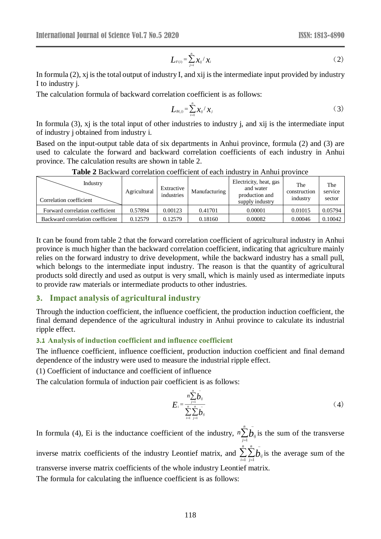$$
L_{F(i)} = \sum_{j=i}^{n} \chi_{ij} / \chi_{i}
$$
 (2)

In formula (2), xj is the total output of industry I, and xij is the intermediate input provided by industry I to industry j.

The calculation formula of backward correlation coefficient is as follows:

$$
L_{B(j)} = \sum_{i=1}^{n} x_{ij} / x_j
$$
 (3)

In formula (3), xj is the total input of other industries to industry j, and xij is the intermediate input of industry j obtained from industry i.

Based on the input-output table data of six departments in Anhui province, formula (2) and (3) are used to calculate the forward and backward correlation coefficients of each industry in Anhui province. The calculation results are shown in table 2.

| Tuniv T Duvil Muu võitviutoli võettividit ol vuoli liigust<br>$\mathbf{m}$ , $\mathbf{m}$ , $\mathbf{m}$ |              |                          |               |                                                                          |                                 |                          |
|----------------------------------------------------------------------------------------------------------|--------------|--------------------------|---------------|--------------------------------------------------------------------------|---------------------------------|--------------------------|
| Industry<br>Correlation coefficient                                                                      | Agricultural | Extractive<br>industries | Manufacturing | Electricity, heat, gas<br>and water<br>production and<br>supply industry | The<br>construction<br>industry | The<br>service<br>sector |
| Forward correlation coefficient                                                                          | 0.57894      | 0.00123                  | 0.41701       | 0.00001                                                                  | 0.01015                         | 0.05794                  |
| Backward correlation coefficient                                                                         | 0.12579      | 0.12579                  | 0.18160       | 0.00082                                                                  | 0.00046                         | 0.10042                  |

**Table 2** Backward correlation coefficient of each industry in Anhui province

 $L_{F(i)} = \sum_{j=i} x_{ij}/x_i$ <br>ry I, and xij is<br>ation coefficie<br>ation coefficie<br> $L_{B(j)} = \sum_{i=1}^{n} x_{ij}/x$ <br>industries to<br>departments<br>ard correlation<br>in table 2.<br>oefficient of exactive<br>active Manufac<br>active Manufac<br>active Manufac<br>activ It can be found from table 2 that the forward correlation coefficient of agricultural industry in Anhui province is much higher than the backward correlation coefficient, indicating that agriculture mainly relies on the forward industry to drive development, while the backward industry has a small pull, which belongs to the intermediate input industry. The reason is that the quantity of agricultural products sold directly and used as output is very small, which is mainly used as intermediate inputs to provide raw materials or intermediate products to other industries.

#### **3. Impact analysis of agricultural industry**

Through the induction coefficient, the influence coefficient, the production induction coefficient, the final demand dependence of the agricultural industry in Anhui province to calculate its industrial ripple effect.

### **3.1 Analysis of induction coefficient and influence coefficient**

The influence coefficient, influence coefficient, production induction coefficient and final demand dependence of the industry were used to measure the industrial ripple effect.

(1) Coefficient of inductance and coefficient of influence

The calculation formula of induction pair coefficient is as follows:

$$
E_{i} = \frac{n \sum_{j=1}^{n} \bar{b}_{ij}}{\sum_{i=1}^{n} \sum_{j=1}^{n} \bar{b}_{ij}}
$$
 (4)

In formula (4), Ei is the inductance coefficient of the industry,  $n \sum_{i=1}^{\infty}$ *n* <sup>−</sup>  $n \sum_{j=1}^n b_{ij}$  $\int_{I}$ *b<sub>ij</sub>* is the sum of the transverse inverse matrix coefficients of the industry Leontief matrix, and  $\sum_{i=1}^{n} \sum_{j=1}^{n}$ *n* <sup>−</sup> *i n*  $\sum_{j=1}^{n} b_{ij}$  is the average sum of the transverse inverse matrix coefficients of the whole industry Leontief matrix.

The formula for calculating the influence coefficient is as follows: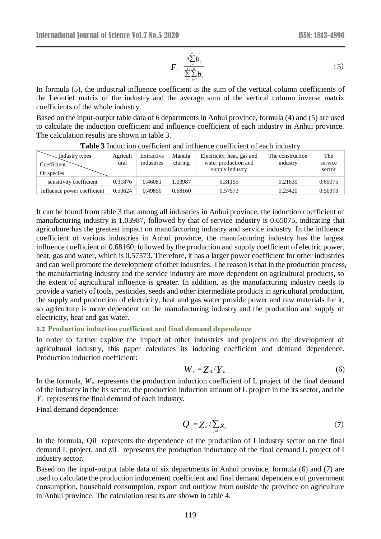$$
F_{j} = \frac{n \sum_{j=1}^{n} \bar{b}_{ij}}{\sum_{i=1}^{n} \sum_{j=1}^{n} \bar{b}_{ij}}
$$
 (5)

In formula (5), the industrial influence coefficient is the sum of the vertical column coefficients of the Leontief matrix of the industry and the average sum of the vertical column inverse matrix coefficients of the whole industry.

Based on the input-output table data of 6 departments in Anhui province, formula (4) and (5) are used to calculate the induction coefficient and influence coefficient of each industry in Anhui province. The calculation results are shown in table 3.

| Industry types<br>Coefficient<br>Of species | Agricult<br>ural | Extractive<br>industries | Manufa<br>cturing | Electricity, heat, gas and<br>water production and<br>supply industry | The construction<br>industry | The<br>service<br>sector |
|---------------------------------------------|------------------|--------------------------|-------------------|-----------------------------------------------------------------------|------------------------------|--------------------------|
| sensitivity coefficient                     | 0.31876          | 0.46081                  | 1.03987           | 0.31155                                                               | 0.21630                      | 0.65075                  |
| influence power coefficient                 | 0.50624          | 0.49850                  | 0.68160           | 0.57573                                                               | 0.23420                      | 0.50373                  |

**Table 3** Induction coefficient and influence coefficient of each industry

It can be found from table 3 that among all industries in Anhui province, the induction coefficient of manufacturing industry is 1.03987, followed by that of service industry is 0.65075, indicating that agriculture has the greatest impact on manufacturing industry and service industry. In the influence coefficient of various industries in Anhui province, the manufacturing industry has the largest influence coefficient of 0.68160, followed by the production and supply coefficient of electric power, heat, gas and water, which is 0.57573. Therefore, it has a larger power coefficient for other industries and can well promote the development of other industries. The reason is that in the production process, the manufacturing industry and the service industry are more dependent on agricultural products, so the extent of agricultural influence is greater. In addition, as the manufacturing industry needs to provide a variety of tools, pesticides, seeds and other intermediate products in agricultural production, the supply and production of electricity, heat and gas water provide power and raw materials for it, so agriculture is more dependent on the manufacturing industry and the production and supply of electricity, heat and gas water.

#### **3.2 Production induction coefficient and final demand dependence**

In order to further explore the impact of other industries and projects on the development of agricultural industry, this paper calculates its inducing coefficient and demand dependence. Production induction coefficient:

$$
W_{iL} = Z_{iL} / Y_L \tag{6}
$$

In the formula,  $W_{\mu}$  represents the production induction coefficient of L project of the final demand of the industry in the its sector, the production induction amount of L project in the its sector, and the *Y<sup>L</sup>* represents the final demand of each industry.

Final demand dependence:

$$
Q_{iL} = Z_{iL} / \sum_{j=1}^{n} x_{ij}
$$
 (7)

In the formula, QiL represents the dependence of the production of I industry sector on the final demand L project, and ziL represents the production inductance of the final demand L project of I industry sector.

Based on the input-output table data of six departments in Anhui province, formula (6) and (7) are used to calculate the production inducement coefficient and final demand dependence of government consumption, household consumption, export and outflow from outside the province on agriculture in Anhui province. The calculation results are shown in table 4.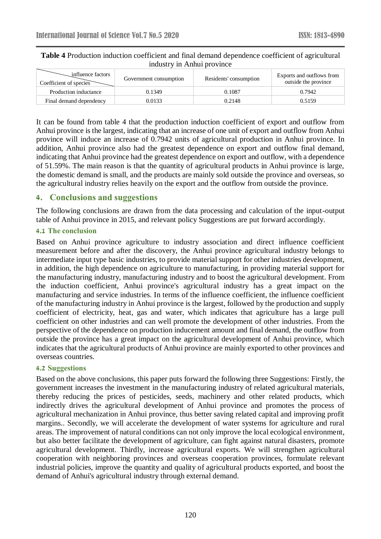| influence factors<br>Coefficient of species | Government consumption | Residents' consumption | Exports and outflows from<br>outside the province |  |
|---------------------------------------------|------------------------|------------------------|---------------------------------------------------|--|
| Production inductance                       | 0.1349                 | 0.1087                 | 0.7942                                            |  |
| Final demand dependency                     | 0.0133                 | 0.2148                 | 0.5159                                            |  |

### **Table 4** Production induction coefficient and final demand dependence coefficient of agricultural industry in Anhui province

It can be found from table 4 that the production induction coefficient of export and outflow from Anhui province is the largest, indicating that an increase of one unit of export and outflow from Anhui province will induce an increase of 0.7942 units of agricultural production in Anhui province. In addition, Anhui province also had the greatest dependence on export and outflow final demand, indicating that Anhui province had the greatest dependence on export and outflow, with a dependence of 51.59%. The main reason is that the quantity of agricultural products in Anhui province is large, the domestic demand is small, and the products are mainly sold outside the province and overseas, so the agricultural industry relies heavily on the export and the outflow from outside the province.

# **4. Conclusions and suggestions**

The following conclusions are drawn from the data processing and calculation of the input-output table of Anhui province in 2015, and relevant policy Suggestions are put forward accordingly.

#### **4.1 The conclusion**

Based on Anhui province agriculture to industry association and direct influence coefficient measurement before and after the discovery, the Anhui province agricultural industry belongs to intermediate input type basic industries, to provide material support for other industries development, in addition, the high dependence on agriculture to manufacturing, in providing material support for the manufacturing industry, manufacturing industry and to boost the agricultural development. From the induction coefficient, Anhui province's agricultural industry has a great impact on the manufacturing and service industries. In terms of the influence coefficient, the influence coefficient of the manufacturing industry in Anhui province is the largest, followed by the production and supply coefficient of electricity, heat, gas and water, which indicates that agriculture has a large pull coefficient on other industries and can well promote the development of other industries. From the perspective of the dependence on production inducement amount and final demand, the outflow from outside the province has a great impact on the agricultural development of Anhui province, which indicates that the agricultural products of Anhui province are mainly exported to other provinces and overseas countries.

#### **4.2 Suggestions**

Based on the above conclusions, this paper puts forward the following three Suggestions: Firstly, the government increases the investment in the manufacturing industry of related agricultural materials, thereby reducing the prices of pesticides, seeds, machinery and other related products, which indirectly drives the agricultural development of Anhui province and promotes the process of agricultural mechanization in Anhui province, thus better saving related capital and improving profit margins.. Secondly, we will accelerate the development of water systems for agriculture and rural areas. The improvement of natural conditions can not only improve the local ecological environment, but also better facilitate the development of agriculture, can fight against natural disasters, promote agricultural development. Thirdly, increase agricultural exports. We will strengthen agricultural cooperation with neighboring provinces and overseas cooperation provinces, formulate relevant industrial policies, improve the quantity and quality of agricultural products exported, and boost the demand of Anhui's agricultural industry through external demand.